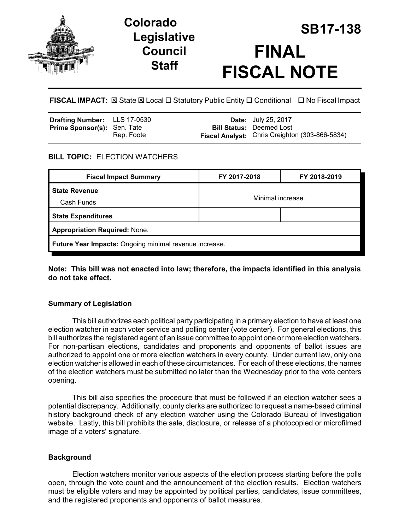

## **Legislative Council Staff**

# **SB17-138 Colorado FINAL FISCAL NOTE**

**FISCAL IMPACT:** ⊠ State ⊠ Local □ Statutory Public Entity □ Conditional □ No Fiscal Impact

| <b>Drafting Number:</b> LLS 17-0530 |            | <b>Date:</b> July 25, 2017                            |
|-------------------------------------|------------|-------------------------------------------------------|
| <b>Prime Sponsor(s): Sen. Tate</b>  |            | <b>Bill Status: Deemed Lost</b>                       |
|                                     | Rep. Foote | <b>Fiscal Analyst:</b> Chris Creighton (303-866-5834) |

## **BILL TOPIC:** ELECTION WATCHERS

| <b>Fiscal Impact Summary</b>                           | FY 2017-2018      | FY 2018-2019 |  |  |  |
|--------------------------------------------------------|-------------------|--------------|--|--|--|
| <b>State Revenue</b>                                   | Minimal increase. |              |  |  |  |
| Cash Funds                                             |                   |              |  |  |  |
| <b>State Expenditures</b>                              |                   |              |  |  |  |
| <b>Appropriation Required: None.</b>                   |                   |              |  |  |  |
| Future Year Impacts: Ongoing minimal revenue increase. |                   |              |  |  |  |

**Note: This bill was not enacted into law; therefore, the impacts identified in this analysis do not take effect.**

## **Summary of Legislation**

This bill authorizes each political party participating in a primary election to have at least one election watcher in each voter service and polling center (vote center). For general elections, this bill authorizes the registered agent of an issue committee to appoint one or more election watchers. For non-partisan elections, candidates and proponents and opponents of ballot issues are authorized to appoint one or more election watchers in every county. Under current law, only one election watcher is allowed in each of these circumstances. For each of these elections, the names of the election watchers must be submitted no later than the Wednesday prior to the vote centers opening.

This bill also specifies the procedure that must be followed if an election watcher sees a potential discrepancy. Additionally, county clerks are authorized to request a name-based criminal history background check of any election watcher using the Colorado Bureau of Investigation website. Lastly, this bill prohibits the sale, disclosure, or release of a photocopied or microfilmed image of a voters' signature.

## **Background**

Election watchers monitor various aspects of the election process starting before the polls open, through the vote count and the announcement of the election results. Election watchers must be eligible voters and may be appointed by political parties, candidates, issue committees, and the registered proponents and opponents of ballot measures.